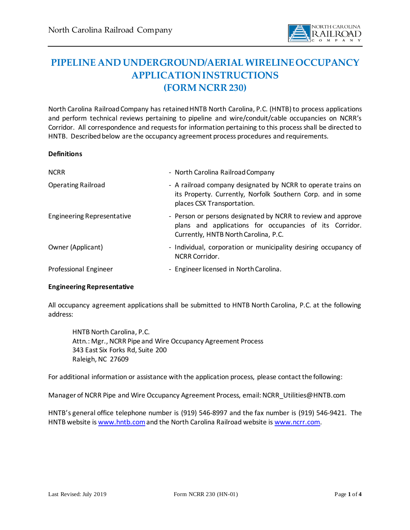

# **PIPELINE AND UNDERGROUND/AERIAL WIRELINEOCCUPANCY APPLICATION INSTRUCTIONS (FORM NCRR 230)**

North Carolina Railroad Company has retained HNTB North Carolina, P.C. (HNTB) to process applications and perform technical reviews pertaining to pipeline and wire/conduit/cable occupancies on NCRR's Corridor. All correspondence and requests for information pertaining to this process shall be directed to HNTB. Described below are the occupancy agreement process procedures and requirements.

#### **Definitions**

| <b>NCRR</b>                       | - North Carolina Railroad Company                                                                                                                               |
|-----------------------------------|-----------------------------------------------------------------------------------------------------------------------------------------------------------------|
| <b>Operating Railroad</b>         | - A railroad company designated by NCRR to operate trains on<br>its Property. Currently, Norfolk Southern Corp. and in some<br>places CSX Transportation.       |
| <b>Engineering Representative</b> | - Person or persons designated by NCRR to review and approve<br>plans and applications for occupancies of its Corridor.<br>Currently, HNTB North Carolina, P.C. |
| Owner (Applicant)                 | - Individual, corporation or municipality desiring occupancy of<br><b>NCRR Corridor.</b>                                                                        |
| Professional Engineer             | - Engineer licensed in North Carolina.                                                                                                                          |

### **Engineering Representative**

All occupancy agreement applications shall be submitted to HNTB North Carolina, P.C. at the following address:

HNTB North Carolina, P.C. Attn.: Mgr., NCRR Pipe and Wire Occupancy Agreement Process 343 East Six Forks Rd, Suite 200 Raleigh, NC 27609

For additional information or assistance with the application process, please contact the following:

Manager of NCRR Pipe and Wire Occupancy Agreement Process, email: NCRR\_Utilities@HNTB.com

HNTB's general office telephone number is (919) 546-8997 and the fax number is (919) 546-9421. The HNTB website i[s www.hntb.com](http://www.hntb.com/) and the North Carolina Railroad website i[s www.ncrr.com](http://www.ncrr.com/).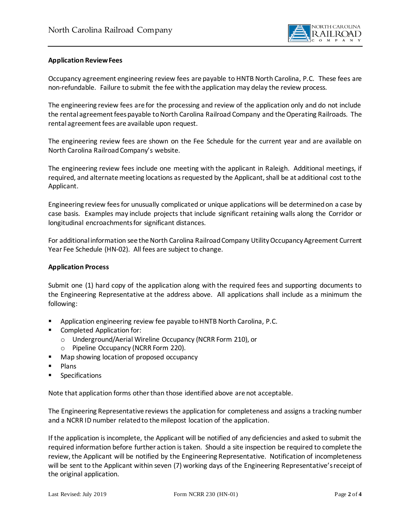

### **Application Review Fees**

Occupancy agreement engineering review fees are payable to HNTB North Carolina, P.C. These fees are non-refundable. Failure to submit the fee with the application may delay the review process.

The engineering review fees are for the processing and review of the application only and do not include the rental agreement fees payable to North Carolina Railroad Company and the Operating Railroads. The rental agreement fees are available upon request.

The engineering review fees are shown on the Fee Schedule for the current year and are available on North Carolina Railroad Company's website.

The engineering review fees include one meeting with the applicant in Raleigh. Additional meetings, if required, and alternate meeting locations as requested by the Applicant, shall be at additional cost to the Applicant.

Engineering review fees for unusually complicated or unique applications will be determined on a case by case basis. Examples may include projects that include significant retaining walls along the Corridor or longitudinal encroachments for significant distances.

For additional information see the North Carolina Railroad Company UtilityOccupancy Agreement Current Year Fee Schedule (HN-02). All fees are subject to change.

### **Application Process**

Submit one (1) hard copy of the application along with the required fees and supporting documents to the Engineering Representative at the address above. All applications shall include as a minimum the following:

- Application engineering review fee payable to HNTB North Carolina, P.C.
- Completed Application for:
	- o Underground/Aerial Wireline Occupancy (NCRR Form 210), or
	- o Pipeline Occupancy (NCRR Form 220).
- Map showing location of proposed occupancy
- Plans
- **Specifications**

Note that application forms other than those identified above are not acceptable.

The Engineering Representative reviews the application for completeness and assigns a tracking number and a NCRR ID number related to the milepost location of the application.

If the application is incomplete, the Applicant will be notified of any deficiencies and asked to submit the required information before further action is taken. Should a site inspection be required to complete the review, the Applicant will be notified by the Engineering Representative. Notification of incompleteness will be sent to the Applicant within seven (7) working days of the Engineering Representative's receipt of the original application.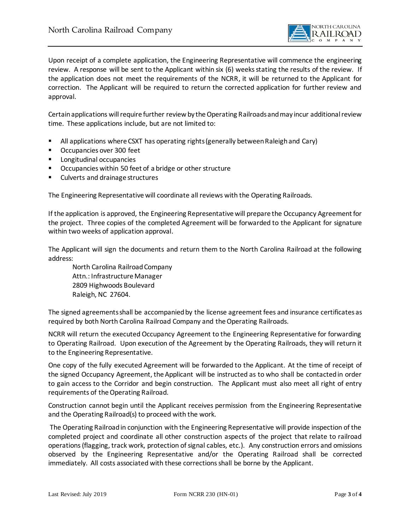

Upon receipt of a complete application, the Engineering Representative will commence the engineering review. A response will be sent to the Applicant within six (6) weeks stating the results of the review. If the application does not meet the requirements of the NCRR, it will be returned to the Applicant for correction. The Applicant will be required to return the corrected application for further review and approval.

Certain applications willrequire further review by the Operating Railroads and may incur additional review time. These applications include, but are not limited to:

- All applications where CSXT has operating rights (generally between Raleigh and Cary)
- Occupancies over 300 feet
- Longitudinal occupancies
- Occupancies within 50 feet of a bridge or other structure
- Culverts and drainage structures

The Engineering Representative will coordinate all reviews with the Operating Railroads.

If the application is approved, the Engineering Representative will prepare the Occupancy Agreement for the project. Three copies of the completed Agreement will be forwarded to the Applicant for signature within two weeks of application approval.

The Applicant will sign the documents and return them to the North Carolina Railroad at the following address:

North Carolina Railroad Company Attn.: Infrastructure Manager 2809 Highwoods Boulevard Raleigh, NC 27604.

The signed agreements shall be accompanied by the license agreement fees and insurance certificates as required by both North Carolina Railroad Company and the Operating Railroads.

NCRR will return the executed Occupancy Agreement to the Engineering Representative for forwarding to Operating Railroad. Upon execution of the Agreement by the Operating Railroads, they will return it to the Engineering Representative.

One copy of the fully executed Agreement will be forwarded to the Applicant. At the time of receipt of the signed Occupancy Agreement, the Applicant will be instructed as to who shall be contacted in order to gain access to the Corridor and begin construction. The Applicant must also meet all right of entry requirements of the Operating Railroad.

Construction cannot begin until the Applicant receives permission from the Engineering Representative and the Operating Railroad(s) to proceed with the work.

The Operating Railroad in conjunction with the Engineering Representative will provide inspection of the completed project and coordinate all other construction aspects of the project that relate to railroad operations (flagging, track work, protection of signal cables, etc.). Any construction errors and omissions observed by the Engineering Representative and/or the Operating Railroad shall be corrected immediately. All costs associated with these corrections shall be borne by the Applicant.